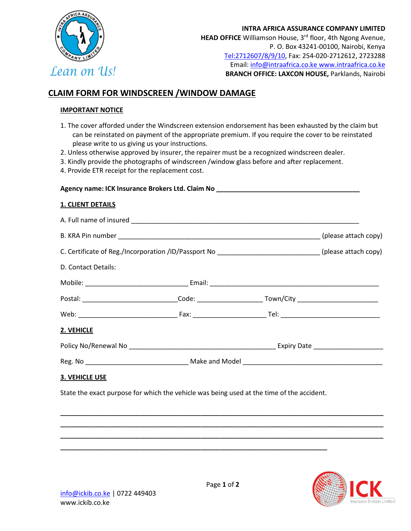

## **CLAIM FORM FOR WINDSCREEN /WINDOW DAMAGE**

## **IMPORTANT NOTICE**

- 1. The cover afforded under the Windscreen extension endorsement has been exhausted by the claim but can be reinstated on payment of the appropriate premium. If you require the cover to be reinstated please write to us giving us your instructions.
- 2. Unless otherwise approved by insurer, the repairer must be a recognized windscreen dealer.
- 3. Kindly provide the photographs of windscreen /window glass before and after replacement.
- 4. Provide ETR receipt for the replacement cost.

| Agency name: ICK Insurance Brokers Ltd. Claim No     |                      |  |  |
|------------------------------------------------------|----------------------|--|--|
| <b>1. CLIENT DETAILS</b>                             |                      |  |  |
| A. Full name of insured                              |                      |  |  |
| B. KRA Pin number                                    | (please attach copy) |  |  |
| C. Certificate of Reg./Incorporation /ID/Passport No | (please attach copy) |  |  |

| Mobile: | Email: |           |
|---------|--------|-----------|
| Postal: | Code:  | Town/City |

Web: \_\_\_\_\_\_\_\_\_\_\_\_\_\_\_\_\_\_\_\_\_\_\_\_\_\_\_ Fax: \_\_\_\_\_\_\_\_\_\_\_\_\_\_\_\_\_\_\_\_ Tel: \_\_\_\_\_\_\_\_\_\_\_\_\_\_\_\_\_\_\_\_\_\_\_\_\_\_\_

| Policy No/Renewal No | <b>Expiry Date</b> |
|----------------------|--------------------|
|                      |                    |

\_\_\_\_\_\_\_\_\_\_\_\_\_\_\_\_\_\_\_\_\_\_\_\_\_\_\_\_\_\_\_\_\_\_\_\_\_\_\_\_\_\_\_\_\_\_\_\_\_\_\_\_\_\_\_\_\_\_\_\_\_\_\_\_\_\_\_\_\_ \_\_\_\_\_\_\_\_\_\_\_\_\_\_\_\_\_\_\_\_\_\_\_\_\_\_\_\_\_\_\_\_\_\_\_\_\_\_\_\_\_\_\_\_\_\_\_\_\_\_\_\_\_\_\_\_\_\_\_\_\_\_\_\_\_\_\_\_\_ \_\_\_\_\_\_\_\_\_\_\_\_\_\_\_\_\_\_\_\_\_\_\_\_\_\_\_\_\_\_\_\_\_\_\_\_\_\_\_\_\_\_\_\_\_\_\_\_\_\_\_\_\_\_\_\_\_\_\_\_\_\_\_\_\_\_\_\_\_

| Reg | .NG | ano<br>١K<br>. MG<br>ากค<br>w<br>. |  |
|-----|-----|------------------------------------|--|
|     |     |                                    |  |

## **3. VEHICLE USE**

State the exact purpose for which the vehicle was being used at the time of the accident.

\_\_\_\_\_\_\_\_\_\_\_\_\_\_\_\_\_\_\_\_\_\_\_\_\_\_\_\_\_\_\_\_\_\_\_\_\_\_\_\_\_\_\_\_\_\_\_\_\_\_\_\_\_\_\_\_\_